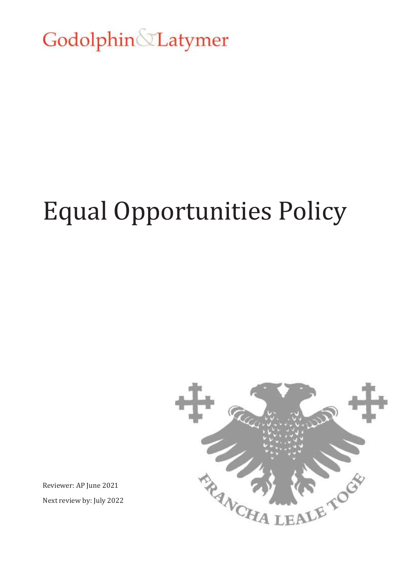Godolphin Latymer

## Equal Opportunities Policy



Reviewer: AP June 2021 Next review by: July 2022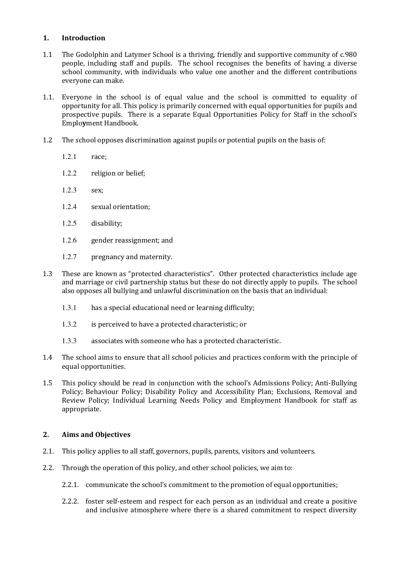## **1. Introduction**

- 1.1 The Godolphin and Latymer School is a thriving, friendly and supportive community of c.980 people, including staff and pupils. The school recognises the benefits of having a diverse school community, with individuals who value one another and the different contributions everyone can make.
- 1.1. Everyone in the school is of equal value and the school is committed to equality of opportunity for all. This policy is primarily concerned with equal opportunities for pupils and prospective pupils. There is a separate Equal Opportunities Policy for Staff in the school's Emplo**y**ment Handbook.
- 1.2 The school opposes discrimination against pupils or potential pupils on the basis of:
	- 1.2.1 race;
	- 1.2.2 religion or belief;
	- 1.2.3 sex;
	- 1.2.4 sexual orientation;
	- 1.2.5 disability;
	- 1.2.6 gender reassignment; and
	- 1.2.7 pregnancy and maternity.
- 1.3 These are known as "protected characteristics". Other protected characteristics include age and marriage or civil partnership status but these do not directly apply to pupils. The school also opposes all bullying and unlawful discrimination on the basis that an individual:
	- 1.3.1 has a special educational need or learning difficulty;
	- 1.3.2 is perceived to have a protected characteristic; or
	- 1.3.3 associates with someone who has a protected characteristic.
- 1.4 The school aims to ensure that all school policies and practices conform with the principle of equal opportunities.
- 1.5 This policy should be read in conjunction with the school's Admissions Policy; Anti-Bullying Policy; Behaviour Policy; Disability Policy and Accessibility Plan; Exclusions, Removal and Review Policy; Individual Learning Needs Policy and Employment Handbook for staff as appropriate.

## **2. Aims and Objectives**

- 2.1. This policy applies to all staff, governors, pupils, parents, visitors and volunteers.
- 2.2. Through the operation of this policy, and other school policies, we aim to:
	- 2.2.1. communicate the school's commitment to the promotion of equal opportunities;
	- 2.2.2. foster self‐esteem and respect for each person as an individual and create a positive and inclusive atmosphere where there is a shared commitment to respect diversity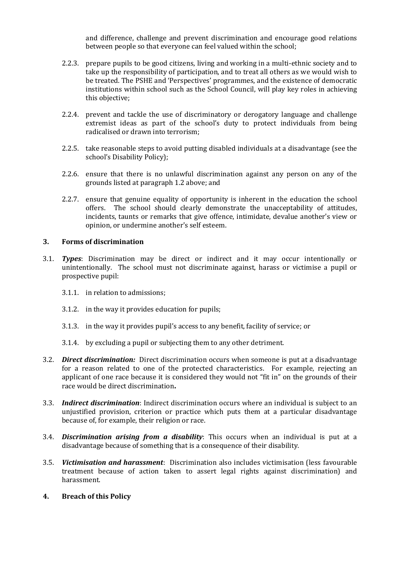and difference, challenge and prevent discrimination and encourage good relations between people so that everyone can feel valued within the school;

- 2.2.3. prepare pupils to be good citizens, living and working in a multi-ethnic society and to take up the responsibility of participation, and to treat all others as we would wish to be treated. The PSHE and 'Perspectives' programmes, and the existence of democratic institutions within school such as the School Council, will play key roles in achieving this objective;
- 2.2.4. prevent and tackle the use of discriminatory or derogatory language and challenge extremist ideas as part of the school's duty to protect individuals from being radicalised or drawn into terrorism;
- 2.2.5. take reasonable steps to avoid putting disabled individuals at a disadvantage (see the school's Disability Policy);
- 2.2.6. ensure that there is no unlawful discrimination against any person on any of the grounds listed at paragraph 1.2 above; and
- 2.2.7. ensure that genuine equality of opportunity is inherent in the education the school offers. The school should clearly demonstrate the unacceptability of attitudes, incidents, taunts or remarks that give offence, intimidate, devalue another's view or opinion, or undermine another's self esteem.

## **3. Forms of discrimination**

- 3.1. *Types*: Discrimination may be direct or indirect and it may occur intentionally or unintentionally. The school must not discriminate against, harass or victimise a pupil or prospective pupil:
	- 3.1.1. in relation to admissions;
	- 3.1.2. in the way it provides education for pupils;
	- 3.1.3. in the way it provides pupil's access to any benefit, facility of service; or
	- 3.1.4. by excluding a pupil or subjecting them to any other detriment.
- 3.2. *Direct discrimination:* Direct discrimination occurs when someone is put at a disadvantage for a reason related to one of the protected characteristics. For example, rejecting an applicant of one race because it is considered they would not "fit in" on the grounds of their race would be direct discrimination**.**
- 3.3. *Indirect discrimination*: Indirect discrimination occurs where an individual is subject to an unjustified provision, criterion or practice which puts them at a particular disadvantage because of, for example, their religion or race.
- 3.4. *Discrimination arising from a disability*: This occurs when an individual is put at a disadvantage because of something that is a consequence of their disability.
- 3.5. *Victimisation and harassment*: Discrimination also includes victimisation (less favourable treatment because of action taken to assert legal rights against discrimination) and harassment.
- **4. Breach of this Policy**